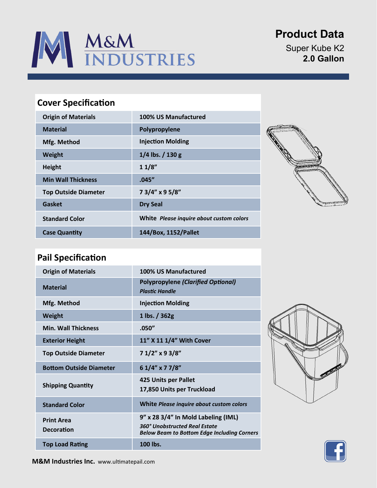

# **Product Data**

Super Kube K2 **2.0 Gallon**

### **Cover Specification**

| <b>Origin of Materials</b>  | 100% US Manufactured                     |
|-----------------------------|------------------------------------------|
| <b>Material</b>             | Polypropylene                            |
| Mfg. Method                 | <b>Injection Molding</b>                 |
| Weight                      | $1/4$ lbs. $/ 130$ g                     |
| <b>Height</b>               | 11/8"                                    |
| <b>Min Wall Thickness</b>   | .045''                                   |
| <b>Top Outside Diameter</b> | 73/4" x 95/8"                            |
| Gasket                      | <b>Dry Seal</b>                          |
| <b>Standard Color</b>       | White Please inquire about custom colors |
| <b>Case Quantity</b>        | 144/Box, 1152/Pallet                     |



## **Pail Specification**

| <b>Origin of Materials</b>             | 100% US Manufactured                                                                                                              |
|----------------------------------------|-----------------------------------------------------------------------------------------------------------------------------------|
| <b>Material</b>                        | <b>Polypropylene (Clarified Optional)</b><br><b>Plastic Handle</b>                                                                |
| Mfg. Method                            | <b>Injection Molding</b>                                                                                                          |
| <b>Weight</b>                          | 1 lbs. $/$ 362g                                                                                                                   |
| <b>Min. Wall Thickness</b>             | .050''                                                                                                                            |
| <b>Exterior Height</b>                 | 11" X 11 1/4" With Cover                                                                                                          |
| <b>Top Outside Diameter</b>            | 71/2" x 93/8"                                                                                                                     |
| <b>Bottom Outside Diameter</b>         | 6 1/4" x 7 7/8"                                                                                                                   |
| <b>Shipping Quantity</b>               | 425 Units per Pallet<br>17,850 Units per Truckload                                                                                |
| <b>Standard Color</b>                  | White Please inquire about custom colors                                                                                          |
| <b>Print Area</b><br><b>Decoration</b> | 9" x 28 3/4" In Mold Labeling (IML)<br><b>360° Unobstructed Real Estate</b><br><b>Below Beam to Bottom Edge Including Corners</b> |
| <b>Top Load Rating</b>                 | 100 lbs.                                                                                                                          |





**M&M Industries Inc.** www.ultimatepail.com